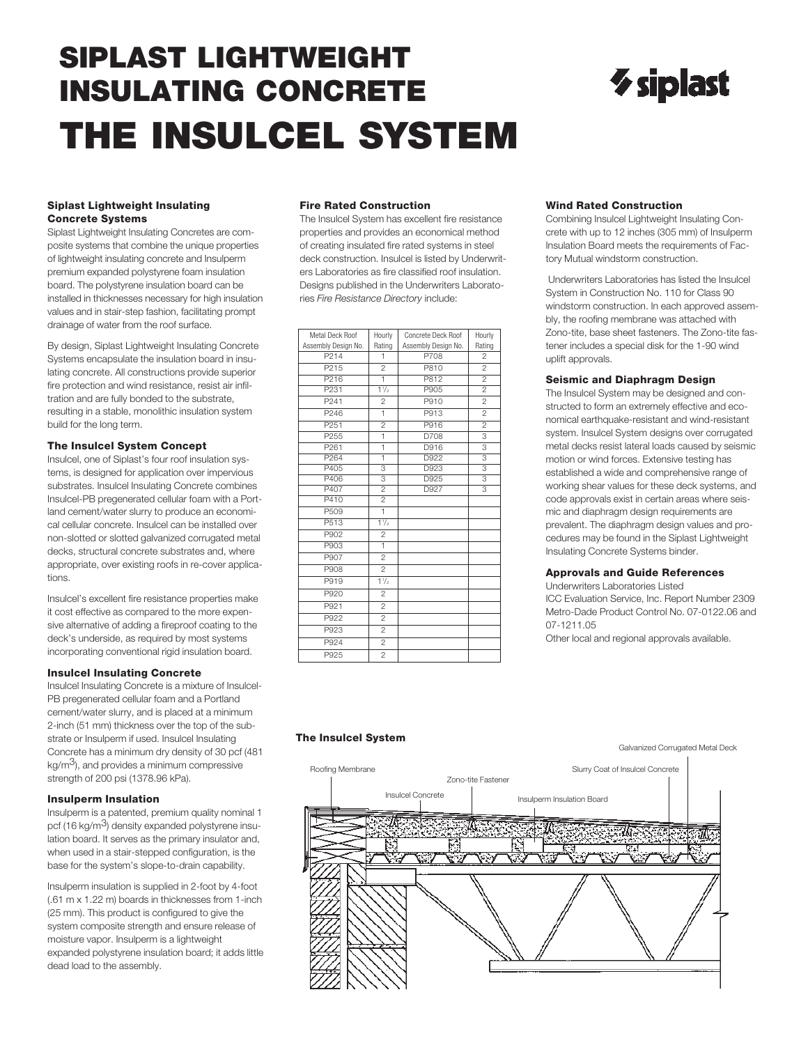# **SIPLAST LIGHTWEIGHT INSULATING CONCRETE THE INSULCEL SYSTEM**

# $\gamma$  siplast

#### **Siplast Lightweight Insulating Concrete Systems**

Siplast Lightweight Insulating Concretes are composite systems that combine the unique properties of lightweight insulating concrete and Insulperm premium expanded polystyrene foam insulation board. The polystyrene insulation board can be installed in thicknesses necessary for high insulation values and in stair-step fashion, facilitating prompt drainage of water from the roof surface.

By design, Siplast Lightweight Insulating Concrete Systems encapsulate the insulation board in insulating concrete. All constructions provide superior fire protection and wind resistance, resist air infiltration and are fully bonded to the substrate, resulting in a stable, monolithic insulation system build for the long term.

#### **The Insulcel System Concept**

Insulcel, one of Siplast's four roof insulation systems, is designed for application over impervious substrates. Insulcel Insulating Concrete combines Insulcel-PB pregenerated cellular foam with a Portland cement/water slurry to produce an economical cellular concrete. Insulcel can be installed over non-slotted or slotted galvanized corrugated metal decks, structural concrete substrates and, where appropriate, over existing roofs in re-cover applications.

Insulcel's excellent fire resistance properties make it cost effective as compared to the more expensive alternative of adding a fireproof coating to the deck's underside, as required by most systems incorporating conventional rigid insulation board.

#### **Insulcel Insulating Concrete**

Insulcel Insulating Concrete is a mixture of Insulcel-PB pregenerated cellular foam and a Portland cement/water slurry, and is placed at a minimum 2-inch (51 mm) thickness over the top of the substrate or Insulperm if used. Insulcel Insulating Concrete has a minimum dry density of 30 pcf (481  $kg/m<sup>3</sup>$ ), and provides a minimum compressive strength of 200 psi (1378.96 kPa).

#### **Insulperm Insulation**

Insulperm is a patented, premium quality nominal 1 pcf (16 kg/m<sup>3</sup>) density expanded polystyrene insulation board. It serves as the primary insulator and, when used in a stair-stepped configuration, is the base for the system's slope-to-drain capability.

Insulperm insulation is supplied in 2-foot by 4-foot (.61 m x 1.22 m) boards in thicknesses from 1-inch (25 mm). This product is configured to give the system composite strength and ensure release of moisture vapor. Insulperm is a lightweight expanded polystyrene insulation board; it adds little dead load to the assembly.

#### **Fire Rated Construction**

The Insulcel System has excellent fire resistance properties and provides an economical method of creating insulated fire rated systems in steel deck construction. Insulcel is listed by Underwriters Laboratories as fire classified roof insulation. Designs published in the Underwriters Laboratories *Fire Resistance Directory* include:

| Metal Deck Roof     | Hourly         | Concrete Deck Roof  | Hourly                    |  |
|---------------------|----------------|---------------------|---------------------------|--|
| Assembly Design No. | Rating         | Assembly Design No. | Rating                    |  |
| P214                | 1              | P708                | $\overline{2}$            |  |
| P <sub>215</sub>    | $\overline{2}$ | P810                | $\overline{2}$            |  |
| P216                | ī              | P812                | $\overline{2}$            |  |
| P231                | 11/2           | P905                | $\overline{2}$            |  |
| P241                | $\overline{c}$ | P910                | $\overline{c}$            |  |
| P246                | 1              | P913                | $\overline{2}$            |  |
| P <sub>251</sub>    | $\overline{2}$ | P916                | $\overline{2}$            |  |
| P <sub>255</sub>    | 1              | D708                | $\overline{\overline{3}}$ |  |
| P <sub>261</sub>    | ī              | D916                | 3                         |  |
| P <sub>264</sub>    | ī              | D922                | $\overline{\overline{3}}$ |  |
| P405                | 3              | D923                | $\overline{\overline{3}}$ |  |
| P406                | 3              | D925                | $\overline{3}$            |  |
| P407                | $\overline{2}$ | D927                | $\overline{\overline{3}}$ |  |
| P410                | $\overline{2}$ |                     |                           |  |
| P <sub>509</sub>    | 1              |                     |                           |  |
| P513                | $1\frac{1}{2}$ |                     |                           |  |
| P902                | $\overline{c}$ |                     |                           |  |
| P903                | $\overline{1}$ |                     |                           |  |
| P907                | $\overline{2}$ |                     |                           |  |
| P908                | $\overline{2}$ |                     |                           |  |
| P919                | 11/2           |                     |                           |  |
| P920                | $\overline{c}$ |                     |                           |  |
| P921                | $\overline{2}$ |                     |                           |  |
| P922                | $\overline{2}$ |                     |                           |  |
| P923                | $\overline{2}$ |                     |                           |  |
| P924                | $\overline{2}$ |                     |                           |  |
| P925                | $\overline{2}$ |                     |                           |  |

#### **Wind Rated Construction**

Combining Insulcel Lightweight Insulating Concrete with up to 12 inches (305 mm) of Insulperm Insulation Board meets the requirements of Factory Mutual windstorm construction.

Underwriters Laboratories has listed the Insulcel System in Construction No. 110 for Class 90 windstorm construction. In each approved assembly, the roofing membrane was attached with Zono-tite, base sheet fasteners. The Zono-tite fastener includes a special disk for the 1-90 wind uplift approvals.

#### **Seismic and Diaphragm Design**

The Insulcel System may be designed and constructed to form an extremely effective and economical earthquake-resistant and wind-resistant system. Insulcel System designs over corrugated metal decks resist lateral loads caused by seismic motion or wind forces. Extensive testing has established a wide and comprehensive range of working shear values for these deck systems, and code approvals exist in certain areas where seismic and diaphragm design requirements are prevalent. The diaphragm design values and procedures may be found in the Siplast Lightweight Insulating Concrete Systems binder.

#### **Approvals and Guide References**

Underwriters Laboratories Listed ICC Evaluation Service, Inc. Report Number 2309 Metro-Dade Product Control No. 07-0122.06 and 07-1211.05

Other local and regional approvals available.

#### **The Insulcel System**

#### Galvanized Corrugated Metal Deck

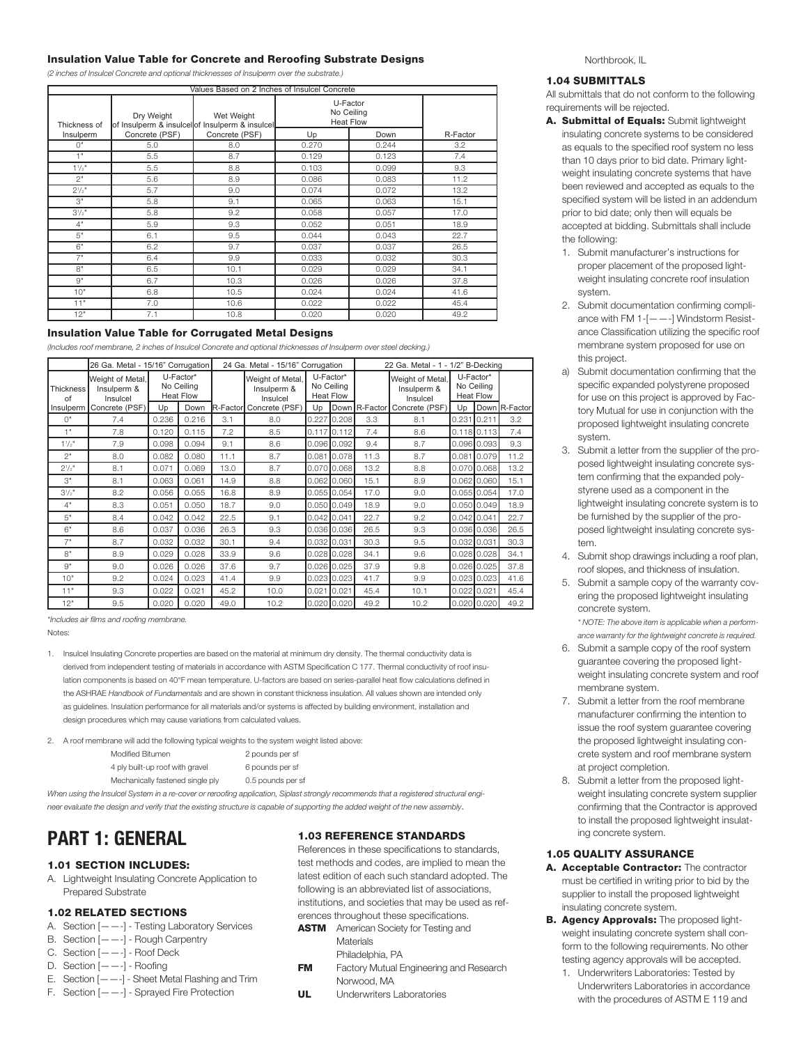#### **Insulation Value Table for Concrete and Reroofing Substrate Designs**

*(2 inches of Insulcel Concrete and optional thicknesses of Insulperm over the substrate.)*

| Values Based on 2 Inches of Insulcel Concrete |                                                               |                |                                            |       |          |  |  |  |
|-----------------------------------------------|---------------------------------------------------------------|----------------|--------------------------------------------|-------|----------|--|--|--|
| Thickness of                                  | Dry Weight<br>of Insulperm & insulcel of Insulperm & insulcel | Wet Weight     | U-Factor<br>No Ceiling<br><b>Heat Flow</b> |       |          |  |  |  |
| Insulperm                                     | Concrete (PSF)                                                | Concrete (PSF) | Up                                         | Down  | R-Factor |  |  |  |
| $\bigcap$ "                                   | 5.0                                                           | 8.0            | 0.270                                      | 0.244 | 3.2      |  |  |  |
| 1"                                            | 5.5                                                           | 8.7            | 0.129                                      | 0.123 | 7.4      |  |  |  |
| $1^{1}/2$ "                                   | 5.5                                                           | 8.8            | 0.103                                      | 0.099 | 9.3      |  |  |  |
| 2"                                            | 5.6                                                           | 8.9            | 0.086                                      | 0.083 | 11.2     |  |  |  |
| $2^{1/2}$                                     | 5.7                                                           | 9.0            | 0.074                                      | 0.072 | 13.2     |  |  |  |
| 3"                                            | 5.8                                                           | 9.1            | 0.065                                      | 0.063 | 15.1     |  |  |  |
| $3^{1/2}$                                     | 5.8                                                           | 9.2            | 0.058                                      | 0.057 | 17.0     |  |  |  |
| 4"                                            | 5.9                                                           | 9.3            | 0.052                                      | 0.051 | 18.9     |  |  |  |
| 5"                                            | 6.1                                                           | 9.5            | 0.044                                      | 0.043 | 22.7     |  |  |  |
| 6"                                            | 6.2                                                           | 9.7            | 0.037                                      | 0.037 | 26.5     |  |  |  |
| 7"                                            | 6.4                                                           | 9.9            | 0.033                                      | 0.032 | 30.3     |  |  |  |
| 8"                                            | 6.5                                                           | 10.1           | 0.029                                      | 0.029 | 34.1     |  |  |  |
| $Q^{\prime\prime}$                            | 6.7                                                           | 10.3           | 0.026                                      | 0.026 | 37.8     |  |  |  |
| 10"                                           | 6.8                                                           | 10.5           | 0.024                                      | 0.024 | 41.6     |  |  |  |
| 11"                                           | 7.0                                                           | 10.6           | 0.022                                      | 0.022 | 45.4     |  |  |  |
| 12"                                           | 7.1                                                           | 10.8           | 0.020                                      | 0.020 | 49.2     |  |  |  |

#### **Insulation Value Table for Corrugated Metal Designs**

(Includes roof membrane, 2 inches of Insulcel Concrete and optional thicknesses of Insulperm over steel decking.)

|                   | 26 Ga. Metal - 15/16" Corrugation           |       |                                             | 24 Ga. Metal - 15/16" Corrugation |                                             |                                             | 22 Ga. Metal - 1 - 1/2" B-Decking |      |                                             |               |                                             |               |  |
|-------------------|---------------------------------------------|-------|---------------------------------------------|-----------------------------------|---------------------------------------------|---------------------------------------------|-----------------------------------|------|---------------------------------------------|---------------|---------------------------------------------|---------------|--|
| Thickness  <br>of | Weight of Metal,<br>Insulperm &<br>Insulcel |       | U-Factor*<br>No Ceiling<br><b>Heat Flow</b> |                                   | Weight of Metal,<br>Insulperm &<br>Insulcel | U-Factor*<br>No Ceiling<br><b>Heat Flow</b> |                                   |      | Weight of Metal,<br>Insulperm &<br>Insulcel |               | U-Factor*<br>No Ceiling<br><b>Heat Flow</b> |               |  |
| Insulperm         | Concrete (PSF)                              | Up    | Down                                        |                                   | R-Factor Concrete (PSF)                     | Up                                          |                                   |      | Down R-Factor Concrete (PSF)                | Up            |                                             | Down R-Factor |  |
| O <sup>II</sup>   | 7.4                                         | 0.236 | 0.216                                       | 3.1                               | 8.0                                         | 0.227                                       | 0.208                             | 3.3  | 8.1                                         | 0.231         | 10.211                                      | 3.2           |  |
| 1"                | 7.8                                         | 0.120 | 0.115                                       | 7.2                               | 8.5                                         |                                             | $0.117$ <sub>0.112</sub>          | 7.4  | 8.6                                         |               | $0.118$ 0.113                               | 7.4           |  |
| $1\frac{1}{2}$    | 7.9                                         | 0.098 | 0.094                                       | 9.1                               | 8.6                                         |                                             | $0.096$ 0.092                     | 9.4  | 8.7                                         |               | 0.09610.093                                 | 9.3           |  |
| 2"                | 8.0                                         | 0.082 | 0.080                                       | 11.1                              | 8.7                                         | 0.081                                       | 0.078                             | 11.3 | 8.7                                         | 0.081         | 0.079                                       | 11.2          |  |
| $2^{1}/2"$        | 8.1                                         | 0.071 | 0.069                                       | 13.0                              | 8.7                                         |                                             | $0.070$ 0.068                     | 13.2 | 8.8                                         |               | $0.070$ 0.068                               | 13.2          |  |
| 3"                | 8.1                                         | 0.063 | 0.061                                       | 14.9                              | 8.8                                         |                                             | $0.062$ 0.060                     | 15.1 | 8.9                                         |               | $0.062$ 0.060                               | 15.1          |  |
| $3^{1/2}$         | 8.2                                         | 0.056 | 0.055                                       | 16.8                              | 8.9                                         |                                             | $0.055$ 0.054                     | 17.0 | 9.0                                         |               | $0.055$ 0.054                               | 17.0          |  |
| 4"                | 8.3                                         | 0.051 | 0.050                                       | 18.7                              | 9.0                                         |                                             | $0.050$ 0.049                     | 18.9 | 9.0                                         |               | $0.050$ 0.049                               | 18.9          |  |
| 5"                | 8.4                                         | 0.042 | 0.042                                       | 22.5                              | 9.1                                         | $0.042$ 0.041                               |                                   | 22.7 | 9.2                                         | $0.042$ 0.041 |                                             | 22.7          |  |
| 6"                | 8.6                                         | 0.037 | 0.036                                       | 26.3                              | 9.3                                         |                                             | $0.036$ 0.036                     | 26.5 | 9.3                                         |               | $0.036$ 0.036                               | 26.5          |  |
| 7"                | 8.7                                         | 0.032 | 0.032                                       | 30.1                              | 9.4                                         |                                             | $0.032$ 0.031                     | 30.3 | 9.5                                         |               | $0.032$ 0.031                               | 30.3          |  |
| 8"                | 8.9                                         | 0.029 | 0.028                                       | 33.9                              | 9.6                                         |                                             | $0.028$ 0.028                     | 34.1 | 9.6                                         |               | $0.028$ 0.028                               | 34.1          |  |
| 9"                | 9.0                                         | 0.026 | 0.026                                       | 37.6                              | 9.7                                         |                                             | $0.026$ 0.025                     | 37.9 | 9.8                                         |               | $0.026$ 0.025                               | 37.8          |  |
| 10"               | 9.2                                         | 0.024 | 0.023                                       | 41.4                              | 9.9                                         |                                             | $0.023$ 0.023                     | 41.7 | 9.9                                         |               | $0.023$ 0.023                               | 41.6          |  |
| 11"               | 9.3                                         | 0.022 | 0.021                                       | 45.2                              | 10.0                                        | 0.021                                       | 10.021                            | 45.4 | 10.1                                        |               | $0.022$ 0.021                               | 45.4          |  |
| 12"               | 9.5                                         | 0.020 | 0.020                                       | 49.0                              | 10.2                                        |                                             | $0.020$ 0.020                     | 49.2 | 10.2                                        |               | $0.020$ 0.020                               | 49.2          |  |

*\*Includes air films and roofing membrane.*

Notes:

1. Insulcel Insulating Concrete properties are based on the material at minimum dry density. The thermal conductivity data is derived from independent testing of materials in accordance with ASTM Specification C 177. Thermal conductivity of roof insulation components is based on 40°F mean temperature. U-factors are based on series-parallel heat flow calculations defined in the ASHRAE *Handbook of Fundamentals* and are shown in constant thickness insulation. All values shown are intended only as guidelines. Insulation performance for all materials and/or systems is affected by building environment, installation and design procedures which may cause variations from calculated values.

2. A roof membrane will add the following typical weights to the system weight listed above:

| Modified Bitumen                | 2 pounds per sf |
|---------------------------------|-----------------|
| 4 ply built-up roof with gravel | 6 pounds per sf |

Mechanically fastened single ply 0.5 pounds per sf

When using the Insulcel System in a re-cover or reroofing application, Siplast strongly recommends that a registered structural engineer evaluate the design and verify that the existing structure is capable of supporting the added weight of the new assembly.

## **PART 1: GENERAL**

#### **1.01 SECTION INCLUDES:**

A. Lightweight Insulating Concrete Application to Prepared Substrate

#### **1.02 RELATED SECTIONS**

- A. Section [——-] Testing Laboratory Services
- B. Section [——-] Rough Carpentry
- C. Section [——-] Roof Deck
- D. Section [——-] Roofing
- E. Section  $[- -]$  Sheet Metal Flashing and Trim
- F. Section [——-] Sprayed Fire Protection

#### **1.03 REFERENCE STANDARDS**

References in these specifications to standards, test methods and codes, are implied to mean the latest edition of each such standard adopted. The following is an abbreviated list of associations, institutions, and societies that may be used as references throughout these specifications.

- **ASTM** American Society for Testing and **Materials** Philadelphia, PA
- **FM** Factory Mutual Engineering and Research Norwood, MA
- **UL** Underwriters Laboratories

#### Northbrook, IL

#### **1.04 SUBMITTALS**

All submittals that do not conform to the following requirements will be rejected.

- **A. Submittal of Equals:** Submit lightweight insulating concrete systems to be considered as equals to the specified roof system no less than 10 days prior to bid date. Primary lightweight insulating concrete systems that have been reviewed and accepted as equals to the specified system will be listed in an addendum prior to bid date; only then will equals be accepted at bidding. Submittals shall include the following:
	- 1. Submit manufacturer's instructions for proper placement of the proposed lightweight insulating concrete roof insulation system.
	- 2. Submit documentation confirming compliance with FM 1-[——-] Windstorm Resistance Classification utilizing the specific roof membrane system proposed for use on this project.
	- a) Submit documentation confirming that the specific expanded polystyrene proposed for use on this project is approved by Factory Mutual for use in conjunction with the proposed lightweight insulating concrete system.
	- 3. Submit a letter from the supplier of the proposed lightweight insulating concrete system confirming that the expanded polystyrene used as a component in the lightweight insulating concrete system is to be furnished by the supplier of the proposed lightweight insulating concrete system.
	- 4. Submit shop drawings including a roof plan, roof slopes, and thickness of insulation.
	- 5. Submit a sample copy of the warranty covering the proposed lightweight insulating concrete system.
		- *\* NOTE: The above item is applicable when a performance warranty for the lightweight concrete is required.*
	- 6. Submit a sample copy of the roof system guarantee covering the proposed lightweight insulating concrete system and roof membrane system.
	- 7. Submit a letter from the roof membrane manufacturer confirming the intention to issue the roof system guarantee covering the proposed lightweight insulating concrete system and roof membrane system at project completion.
	- 8. Submit a letter from the proposed lightweight insulating concrete system supplier confirming that the Contractor is approved to install the proposed lightweight insulating concrete system.

#### **1.05 QUALITY ASSURANCE**

- **A. Acceptable Contractor:** The contractor must be certified in writing prior to bid by the supplier to install the proposed lightweight insulating concrete system.
- **B. Agency Approvals:** The proposed lightweight insulating concrete system shall conform to the following requirements. No other testing agency approvals will be accepted.
	- 1. Underwriters Laboratories: Tested by Underwriters Laboratories in accordance with the procedures of ASTM E 119 and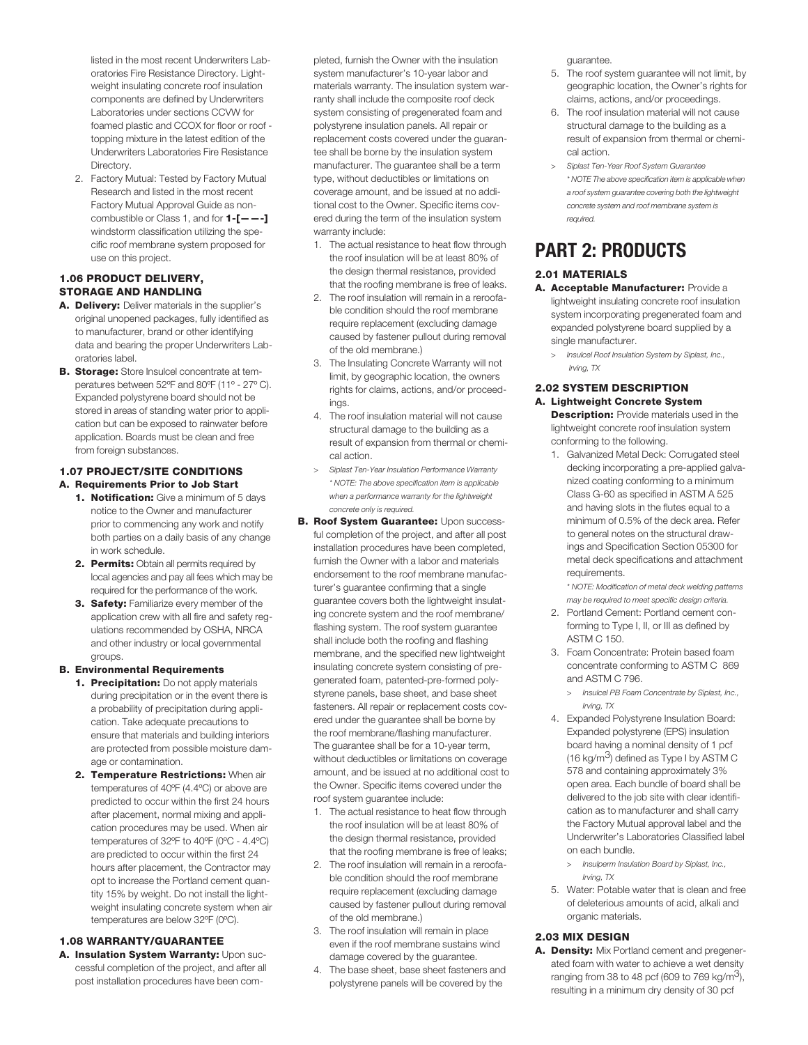listed in the most recent Underwriters Laboratories Fire Resistance Directory. Lightweight insulating concrete roof insulation components are defined by Underwriters Laboratories under sections CCVW for foamed plastic and CCOX for floor or roof topping mixture in the latest edition of the Underwriters Laboratories Fire Resistance Directory.

2. Factory Mutual: Tested by Factory Mutual Research and listed in the most recent Factory Mutual Approval Guide as noncombustible or Class 1, and for **1-[——-]** windstorm classification utilizing the specific roof membrane system proposed for use on this project.

#### **1.06 PRODUCT DELIVERY, STORAGE AND HANDLING**

- **A. Delivery:** Deliver materials in the supplier's original unopened packages, fully identified as to manufacturer, brand or other identifying data and bearing the proper Underwriters Laboratories label.
- **B. Storage:** Store Insulcel concentrate at temperatures between 52ºF and 80ºF (11º - 27º C). Expanded polystyrene board should not be stored in areas of standing water prior to application but can be exposed to rainwater before application. Boards must be clean and free from foreign substances.

## **1.07 PROJECT/SITE CONDITIONS**

### **A. Requirements Prior to Job Start**

- **1. Notification:** Give a minimum of 5 days notice to the Owner and manufacturer prior to commencing any work and notify both parties on a daily basis of any change in work schedule.
- **2. Permits:** Obtain all permits required by local agencies and pay all fees which may be required for the performance of the work.
- **3. Safety:** Familiarize every member of the application crew with all fire and safety regulations recommended by OSHA, NRCA and other industry or local governmental groups.

#### **B. Environmental Requirements**

- **1. Precipitation:** Do not apply materials during precipitation or in the event there is a probability of precipitation during application. Take adequate precautions to ensure that materials and building interiors are protected from possible moisture damage or contamination.
- **2. Temperature Restrictions:** When air temperatures of 40ºF (4.4ºC) or above are predicted to occur within the first 24 hours after placement, normal mixing and application procedures may be used. When air temperatures of 32ºF to 40ºF (0ºC - 4.4ºC) are predicted to occur within the first 24 hours after placement, the Contractor may opt to increase the Portland cement quantity 15% by weight. Do not install the lightweight insulating concrete system when air temperatures are below 32ºF (0ºC).

#### **1.08 WARRANTY/GUARANTEE**

**A. Insulation System Warranty:** Upon successful completion of the project, and after all post installation procedures have been com-

pleted, furnish the Owner with the insulation system manufacturer's 10-year labor and materials warranty. The insulation system warranty shall include the composite roof deck system consisting of pregenerated foam and polystyrene insulation panels. All repair or replacement costs covered under the guarantee shall be borne by the insulation system manufacturer. The guarantee shall be a term type, without deductibles or limitations on coverage amount, and be issued at no additional cost to the Owner. Specific items covered during the term of the insulation system warranty include:

- 1. The actual resistance to heat flow through the roof insulation will be at least 80% of the design thermal resistance, provided that the roofing membrane is free of leaks.
- 2. The roof insulation will remain in a reroofable condition should the roof membrane require replacement (excluding damage caused by fastener pullout during removal of the old membrane.)
- 3. The Insulating Concrete Warranty will not limit, by geographic location, the owners rights for claims, actions, and/or proceedings.
- 4. The roof insulation material will not cause structural damage to the building as a result of expansion from thermal or chemical action.
- *> Siplast Ten-Year Insulation Performance Warranty \* NOTE: The above specification item is applicable when a performance warranty for the lightweight concrete only is required.*
- **B. Roof System Guarantee:** Upon successful completion of the project, and after all post installation procedures have been completed, furnish the Owner with a labor and materials endorsement to the roof membrane manufacturer's guarantee confirming that a single guarantee covers both the lightweight insulating concrete system and the roof membrane/ flashing system. The roof system guarantee shall include both the roofing and flashing membrane, and the specified new lightweight insulating concrete system consisting of pregenerated foam, patented-pre-formed polystyrene panels, base sheet, and base sheet fasteners. All repair or replacement costs covered under the guarantee shall be borne by the roof membrane/flashing manufacturer. The guarantee shall be for a 10-year term, without deductibles or limitations on coverage amount, and be issued at no additional cost to the Owner. Specific items covered under the roof system guarantee include:
	- 1. The actual resistance to heat flow through the roof insulation will be at least 80% of the design thermal resistance, provided that the roofing membrane is free of leaks;
	- 2. The roof insulation will remain in a reroofable condition should the roof membrane require replacement (excluding damage caused by fastener pullout during removal of the old membrane.)
	- 3. The roof insulation will remain in place even if the roof membrane sustains wind damage covered by the guarantee.
	- 4. The base sheet, base sheet fasteners and polystyrene panels will be covered by the

guarantee.

- 5. The roof system guarantee will not limit, by geographic location, the Owner's rights for claims, actions, and/or proceedings.
- 6. The roof insulation material will not cause structural damage to the building as a result of expansion from thermal or chemical action.
- *> Siplast Ten-Year Roof System Guarantee \* NOTE The above specification item is applicable when a roof system guarantee covering both the lightweight concrete system and roof membrane system is required.*

## **PART 2: PRODUCTS**

#### **2.01 MATERIALS**

- **A. Acceptable Manufacturer:** Provide a lightweight insulating concrete roof insulation system incorporating pregenerated foam and expanded polystyrene board supplied by a single manufacturer.
	- *> Insulcel Roof Insulation System by Siplast, Inc., Irving, TX*

### **2.02 SYSTEM DESCRIPTION**

**A. Lightweight Concrete System Description:** Provide materials used in the

lightweight concrete roof insulation system conforming to the following.

1. Galvanized Metal Deck: Corrugated steel decking incorporating a pre-applied galvanized coating conforming to a minimum Class G-60 as specified in ASTM A 525 and having slots in the flutes equal to a minimum of 0.5% of the deck area. Refer to general notes on the structural drawings and Specification Section 05300 for metal deck specifications and attachment requirements.

*\* NOTE: Modification of metal deck welding patterns may be required to meet specific design criteria.*

- 2. Portland Cement: Portland cement conforming to Type I, II, or III as defined by ASTM C 150.
- 3. Foam Concentrate: Protein based foam concentrate conforming to ASTM C 869 and ASTM C 796.

*> Insulcel PB Foam Concentrate by Siplast, Inc., Irving, TX*

- 4. Expanded Polystyrene Insulation Board: Expanded polystyrene (EPS) insulation board having a nominal density of 1 pcf (16 kg/m<sup>3</sup>) defined as Type I by ASTM C 578 and containing approximately 3% open area. Each bundle of board shall be delivered to the job site with clear identification as to manufacturer and shall carry the Factory Mutual approval label and the Underwriter's Laboratories Classified label on each bundle.
	- *> Insulperm Insulation Board by Siplast, Inc., Irving, TX*
- 5. Water: Potable water that is clean and free of deleterious amounts of acid, alkali and organic materials.

#### **2.03 MIX DESIGN**

**A. Density:** Mix Portland cement and pregenerated foam with water to achieve a wet density ranging from 38 to 48 pcf (609 to 769 kg/m<sup>3</sup>), resulting in a minimum dry density of 30 pcf